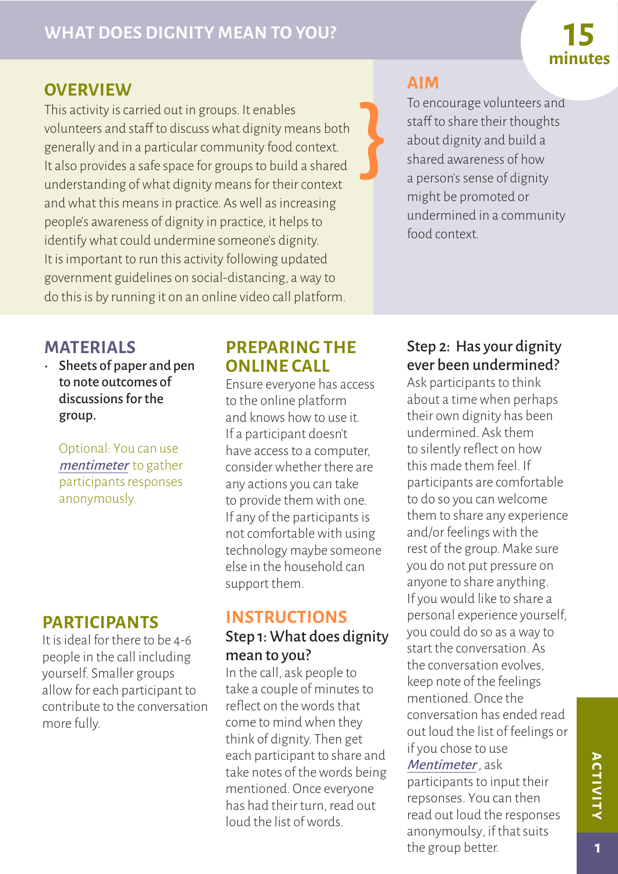# **minutes**

# **OVERVIEW**

This activity is carried out in groups. It enables volunteers and staff to discuss what dignity means both generally and in a particular community food context. It also provides a safe space for groups to build a shared understanding of what dignity means for their context and what this means in practice. As well as increasing people's awareness of dignity in practice, it helps to identify what could undermine someone's dignity. It is important to run this activity following updated government guidelines on social-distancing, a way to do this is by running it on an online video call platform.

# **AIM**

}

To encourage volunteers and staff to share their thoughts about dignity and build a shared awareness of how a person's sense of dignity might be promoted or undermined in a community food context.

# **MATERIALS**

• Sheets of paper and pen to note outcomes of discussions for the group.

Optional: You can use [mentimeter](https://www.mentimeter.com/) to gather participants responses anonymously.

## **PARTICIPANTS**

It is ideal for there to be 4-6 people in the call including yourself. Smaller groups allow for each participant to contribute to the conversation more fully.

## **PREPARING THE ONLINE CALL**

Ensure everyone has access to the online platform and knows how to use it. If a participant doesn't have access to a computer, consider whether there are any actions you can take to provide them with one. If any of the participants is not comfortable with using technology maybe someone else in the household can support them.

## **INSTRUCTIONS**

#### Step 1: What does dignity mean to you?

In the call, ask people to take a couple of minutes to reflect on the words that come to mind when they think of dignity. Then get each participant to share and take notes of the words being mentioned. Once everyone has had their turn, read out loud the list of words.

#### Step 2: Has your dignity ever been undermined?

Ask participants to think about a time when perhaps their own dignity has been undermined. Ask them to silently reflect on how this made them feel. If participants are comfortable to do so you can welcome them to share any experience and/or feelings with the rest of the group. Make sure you do not put pressure on anyone to share anything. If you would like to share a personal experience yourself, you could do so as a way to start the conversation. As the conversation evolves, keep note of the feelings mentioned. Once the conversation has ended read out loud the list of feelings or if you chose to use Mentimeter, ask participants to input their repsonses. You can then

read out loud the responses anonymoulsy, if that suits the group better.